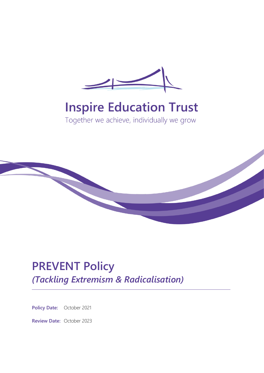

# **Inspire Education Trust**

Together we achieve, individually we grow



## **PREVENT Policy** *(Tackling Extremism & Radicalisation)*

**Policy Date:** October 2021

**Review Date:** October 2023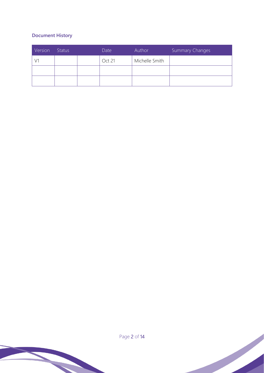#### **Document History**

| Version | <b>Status</b> | Date   | Author         | Summary Changes |
|---------|---------------|--------|----------------|-----------------|
|         |               | Oct 21 | Michelle Smith |                 |
|         |               |        |                |                 |
|         |               |        |                |                 |

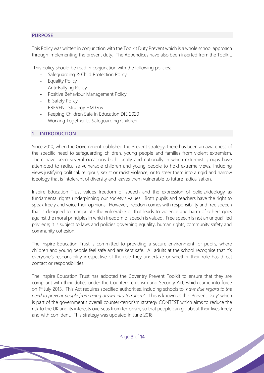#### **PURPOSE**

This Policy was written in conjunction with the Toolkit Duty Prevent which is a whole school approach through implementing the prevent duty. The Appendices have also been inserted from the Toolkit.

This policy should be read in conjunction with the following policies:-

- Safeguarding & Child Protection Policy
- Equality Policy
- Anti-Bullying Policy
- Positive Behaviour Management Policy
- E-Safety Policy
- PREVENT Strategy HM Gov
- Keeping Children Safe in Education DfE 2020
- Working Together to Safeguarding Children

#### **1 INTRODUCTION**

Since 2010, when the Government published the Prevent strategy, there has been an awareness of the specific need to safeguarding children, young people and families from violent extremism. There have been several occasions both locally and nationally in which extremist groups have attempted to radicalise vulnerable children and young people to hold extreme views, including views justifying political, religious, sexist or racist violence, or to steer them into a rigid and narrow ideology that is intolerant of diversity and leaves them vulnerable to future radicalisation.

Inspire Education Trust values freedom of speech and the expression of beliefs/ideology as fundamental rights underpinning our society's values. Both pupils and teachers have the right to speak freely and voice their opinions. However, freedom comes with responsibility and free speech that is designed to manipulate the vulnerable or that leads to violence and harm of others goes against the moral principles in which freedom of speech is valued. Free speech is not an unqualified privilege; it is subject to laws and policies governing equality, human rights, community safety and community cohesion.

The Inspire Education Trust is committed to providing a secure environment for pupils, where children and young people feel safe and are kept safe. All adults at the school recognise that it's everyone's responsibility irrespective of the role they undertake or whether their role has direct contact or responsibilities.

The Inspire Education Trust has adopted the Coventry Prevent Toolkit to ensure that they are compliant with their duties under the Counter-Terrorism and Security Act, which came into force on 1st July 2015. This Act requires specified authorities, including schools to *'have due regard to the need to prevent people from being drawn into terrorism'*. This is known as the 'Prevent Duty' which is part of the government's overall counter-terrorism strategy CONTEST which aims to reduce the risk to the UK and its interests overseas from terrorism, so that people can go about their lives freely and with confident. This strategy was updated in June 2018.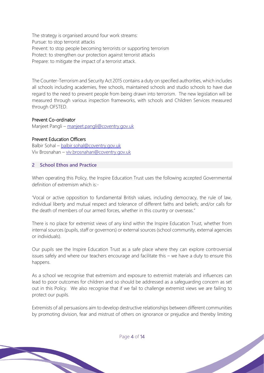The strategy is organised around four work streams: Pursue: to stop terrorist attacks Prevent: to stop people becoming terrorists or supporting terrorism Protect: to strengthen our protection against terrorist attacks Prepare: to mitigate the impact of a terrorist attack.

The Counter-Terrorism and Security Act 2015 contains a duty on specified authorities, which includes all schools including academies, free schools, maintained schools and studio schools to have due regard to the need to prevent people from being drawn into terrorism. The new legislation will be measured through various inspection frameworks, with schools and Children Services measured through OFSTED.

#### Prevent Co-ordinator

Manjeet Pangli – [manjeet.pangli@coventry.gov.uk](mailto:manjeet.pangli@coventry.gov.uk)

#### Prevent Education Officers

Balbir Sohal – [balbir.sohal@coventry.gov.uk](mailto:balbir.sohal@coventry.gov.uk) Viv Brosnahan – [viv.brosnahan@coventry.gov.uk](mailto:viv.brosnahan@coventry.gov.uk)

#### **2 School Ethos and Practice**

When operating this Policy, the Inspire Education Trust uses the following accepted Governmental definition of extremism which is:-

'Vocal or active opposition to fundamental British values, including democracy, the rule of law, individual liberty and mutual respect and tolerance of different faiths and beliefs; and/or calls for the death of members of our armed forces, whether in this country or overseas."

There is no place for extremist views of any kind within the Inspire Education Trust, whether from internal sources (pupils, staff or governors) or external sources (school community, external agencies or individuals).

Our pupils see the Inspire Education Trust as a safe place where they can explore controversial issues safely and where our teachers encourage and facilitate this – we have a duty to ensure this happens.

As a school we recognise that extremism and exposure to extremist materials and influences can lead to poor outcomes for children and so should be addressed as a safeguarding concern as set out in this Policy. We also recognise that if we fail to challenge extremist views we are failing to protect our pupils.

Extremists of all persuasions aim to develop destructive relationships between different communities by promoting division, fear and mistrust of others on ignorance or prejudice and thereby limiting

Page 4 of 14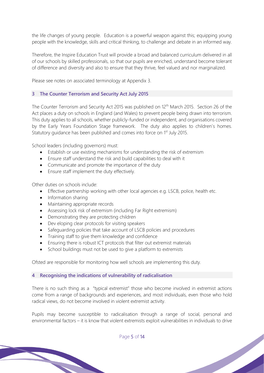the life changes of young people. Education is a powerful weapon against this; equipping young people with the knowledge, skills and critical thinking, to challenge and debate in an informed way.

Therefore, the Inspire Education Trust will provide a broad and balanced curriculum delivered in all of our schools by skilled professionals, so that our pupils are enriched, understand become tolerant of difference and diversity and also to ensure that they thrive, feel valued and nor marginalized.

Please see notes on associated terminology at Appendix 3.

#### **3 The Counter Terrorism and Security Act July 2015**

The Counter Terrorism and Security Act 2015 was published on 12<sup>th</sup> March 2015. Section 26 of the Act places a duty on schools in England (and Wales) to prevent people being drawn into terrorism. This duty applies to all schools, whether publicly-funded or independent, and organisations covered by the Early Years Foundation Stage framework. The duty also applies to children's homes. Statutory guidance has been published and comes into force on 1<sup>st</sup> July 2015.

School leaders (including governors) must:

- Establish or use existing mechanisms for understanding the risk of extremism
- Ensure staff understand the risk and build capabilities to deal with it
- Communicate and promote the importance of the duty
- Ensure staff implement the duty effectively.

Other duties on schools include:

- Effective partnership working with other local agencies e.g. LSCB, police, health etc.
- Information sharing
- Maintaining appropriate records
- Assessing lock risk of extremism (including Far Right extremism)
- Demonstrating they are protecting children
- Dev eloping clear protocols for visiting speakers
- Safeguarding policies that take account of LSCB policies and procedures
- Training staff to give them knowledge and confidence
- Ensuring there is robust ICT protocols that filter out extremist materials
- School buildings must not be used to give a platform to extremists

Ofsted are responsible for monitoring how well schools are implementing this duty.

#### **4 Recognising the indications of vulnerability of radicalisation**

There is no such thing as a "typical extremist" those who become involved in extremist actions come from a range of backgrounds and experiences, and most individuals, even those who hold radical views, do not become involved in violent extremist activity.

Pupils may become susceptible to radicalisation through a range of social, personal and environmental factors – it is know that violent extremists exploit vulnerabilities in individuals to drive

Page 5 of 14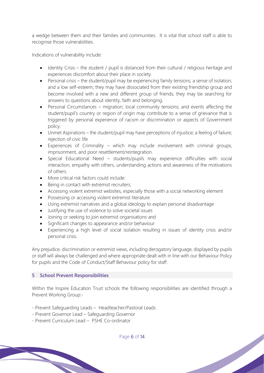a wedge between them and their families and communities. It is vital that school staff is able to recognise those vulnerabilities.

Indications of vulnerability include:

- Identity Crisis the student / pupil is distanced from their cultural / religious heritage and experiences discomfort about their place in society.
- Personal crisis the student/pupil may be experiencing family tensions; a sense of isolation; and a low self-esteem; they may have dissociated from their existing friendship group and become involved with a new and different group of friends; they may be searching for answers to questions about identity, faith and belonging.
- Personal Circumstances migration; local community tensions; and events affecting the student/pupil's country or region of origin may contribute to a sense of grievance that is triggered by personal experience of racism or discrimination or aspects of Government policy.
- Unmet Aspirations the student/pupil may have perceptions of injustice; a feeling of failure; rejection of civic life
- Experiences of Criminality which may include involvement with criminal groups, imprisonment, and poor resettlement/reintegration.
- Special Educational Need students/pupils may experience difficulties with social interaction, empathy with others, understanding actions and awareness of the motivations of others.
- More critical risk factors could include:
- Being in contact with extremist recruiters;
- Accessing violent extremist websites, especially those with a social networking element
- Possessing or accessing violent extremist literature
- Using extremist narratives and a global ideology to explain personal disadvantage
- Justifying the use of violence to solve societal issues
- Joining or seeking to join extremist organisations and
- Significant changes to appearance and/or behaviour
- Experiencing a high level of social isolation resulting in issues of identity crisis and/or personal crisis.

Any prejudice, discrimination or extremist views, including derogatory language, displayed by pupils or staff will always be challenged and where appropriate dealt with in line with our Behaviour Policy for pupils and the Code of Conduct/Staff Behaviour policy for staff.

#### **5 School Prevent Responsibilities**

Within the Inspire Education Trust schools the following responsibilities are identified through a Prevent Working Group:-

- Prevent Safeguarding Leads Headteacher/Pastoral Leads
- Prevent Governor Lead Safeguarding Governor
- Prevent Curriculum Lead PSHE Co-ordinator

Page 6 of 14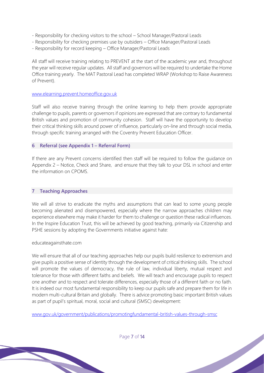- Responsibility for checking visitors to the school School Manager/Pastoral Leads
- Responsibility for checking premises use by outsiders Office Manager/Pastoral Leads
- Responsibility for record keeping Office Manager/Pastoral Leads

All staff will receive training relating to PREVENT at the start of the academic year and, throughout the year will receive regular updates. All staff and governors will be required to undertake the Home Office training yearly. The MAT Pastoral Lead has completed WRAP (Workshop to Raise Awareness of Prevent).

#### [www.elearning.prevent.homeoffice.gov.uk](http://www.elearning.prevent.homeoffice.gov.uk/)

Staff will also receive training through the online learning to help them provide appropriate challenge to pupils, parents or governors if opinions are expressed that are contrary to fundamental British values and promotion of community cohesion. Staff will have the opportunity to develop their critical thinking skills around power of influence, particularly on-line and through social media, through specific training arranged with the Coventry Prevent Education Officer.

#### **6 Referral (see Appendix 1 – Referral Form)**

If there are any Prevent concerns identified then staff will be required to follow the guidance on Appendix 2 – Notice, Check and Share, and ensure that they talk to your DSL in school and enter the information on CPOMS.

#### **7 Teaching Approaches**

We will all strive to eradicate the myths and assumptions that can lead to some young people becoming alienated and disempowered, especially where the narrow approaches children may experience elsewhere may make it harder for them to challenge or question these radical influences. In the Inspire Education Trust, this will be achieved by good teaching, primarily via Citizenship and PSHE sessions by adopting the Governments initiative against hate:

#### educateagainsthate.com

We will ensure that all of our teaching approaches help our pupils build resilience to extremism and give pupils a positive sense of identity through the development of critical thinking skills. The school will promote the values of democracy, the rule of law, individual liberty, mutual respect and tolerance for those with different faiths and beliefs. We will teach and encourage pupils to respect one another and to respect and tolerate differences, especially those of a different faith or no faith. It is indeed our most fundamental responsibility to keep our pupils safe and prepare them for life in modern multi-cultural Britain and globally. There is advice promoting basic important British values as part of pupil's spiritual, moral, social and cultural (SMSC) development:

[www.gov.uk/government/publications/promotingfundamental-british-values-through-smsc](http://www.gov.uk/government/publications/promotingfundamental-british-values-through-smsc)

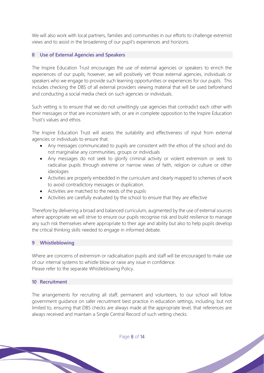We will also work with local partners, families and communities in our efforts to challenge extremist views and to assist in the broadening of our pupil's experiences and horizons.

#### **8 Use of External Agencies and Speakers**

The Inspire Education Trust encourages the use of external agencies or speakers to enrich the experiences of our pupils; however, we will positively vet those external agencies, individuals or speakers who we engage to provide such learning opportunities or experiences for our pupils. This includes checking the DBS of all external providers viewing material that will be used beforehand and conducting a social media check on such agencies or individuals.

Such vetting is to ensure that we do not unwittingly use agencies that contradict each other with their messages or that are inconsistent with, or are in complete opposition to the Inspire Education Trust's values and ethos.

The Inspire Education Trust will assess the suitability and effectiveness of input from external agencies or individuals to ensure that:

- Any messages communicated to pupils are consistent with the ethos of the school and do not marginalise any communities, groups or individuals
- Any messages do not seek to glorify criminal activity or violent extremism or seek to radicalise pupils through extreme or narrow views of faith, religion or culture or other ideologies
- Activities are properly embedded in the curriculum and clearly mapped to schemes of work to avoid contradictory messages or duplication.
- Activities are matched to the needs of the pupils
- Activities are carefully evaluated by the school to ensure that they are effective

Therefore by delivering a broad and balanced curriculum, augmented by the use of external sources where appropriate we will strive to ensure our pupils recognise risk and build resilience to manage any such risk themselves where appropriate to their age and ability but also to help pupils develop the critical thinking skills needed to engage in informed debate.

#### **9 Whistleblowing**

Where are concerns of extremism or radicalisation pupils and staff will be encouraged to make use of our internal systems to whistle blow or raise any issue in confidence. Please refer to the separate Whistleblowing Policy.

#### **10 Recruitment**

The arrangements for recruiting all staff, permanent and volunteers, to our school will follow government guidance on safer recruitment best practice in education settings, including, but not limited to, ensuring that DBS checks are always made at the appropriate level, that references are always received and maintain a Single Central Record of such vetting checks.

Page 8 of 14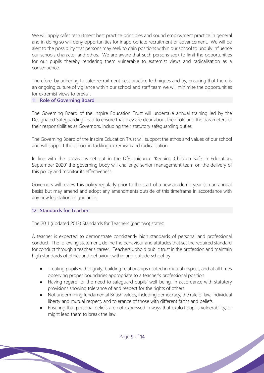We will apply safer recruitment best practice principles and sound employment practice in general and in doing so will deny opportunities for inappropriate recruitment or advancement. We will be alert to the possibility that persons may seek to gain positions within our school to unduly influence our schools character and ethos. We are aware that such persons seek to limit the opportunities for our pupils thereby rendering them vulnerable to extremist views and radicalisation as a consequence.

Therefore, by adhering to safer recruitment best practice techniques and by, ensuring that there is an ongoing culture of vigilance within our school and staff team we will minimise the opportunities for extremist views to prevail.

#### **11 Role of Governing Board**

The Governing Board of the Inspire Education Trust will undertake annual training led by the Designated Safeguarding Lead to ensure that they are clear about their role and the parameters of their responsibilities as Governors, including their statutory safeguarding duties.

The Governing Board of the Inspire Education Trust will support the ethos and values of our school and will support the school in tackling extremism and radicalisation

In line with the provisions set out in the DfE guidance 'Keeping Children Safe in Education, September 2020' the governing body will challenge senior management team on the delivery of this policy and monitor its effectiveness.

Governors will review this policy regularly prior to the start of a new academic year (on an annual basis) but may amend and adopt any amendments outside of this timeframe in accordance with any new legislation or guidance.

#### **12 Standards for Teacher**

The 2011 (updated 2013) Standards for Teachers (part two) states:

A teacher is expected to demonstrate consistently high standards of personal and professional conduct. The following statement, define the behaviour and attitudes that set the required standard for conduct through a teacher's career. Teachers uphold public trust in the profession and maintain high standards of ethics and behaviour within and outside school by:

- Treating pupils with dignity, building relationships rooted in mutual respect, and at all times observing proper boundaries appropriate to a teacher's professional position
- Having regard for the need to safeguard pupils' well-being, in accordance with statutory provisions showing tolerance of and respect for the rights of others.
- Not undermining fundamental British values, including democracy, the rule of law, individual liberty and mutual respect, and tolerance of those with different faiths and beliefs.
- Ensuring that personal beliefs are not expressed in ways that exploit pupil's vulnerability, or might lead them to break the law.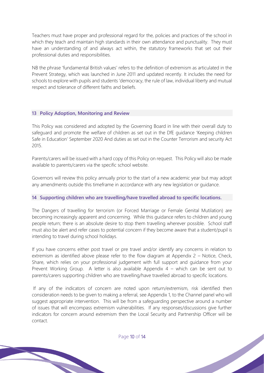Teachers must have proper and professional regard for the, policies and practices of the school in which they teach and maintain high standards in their own attendance and punctuality. They must have an understanding of and always act within, the statutory frameworks that set out their professional duties and responsibilities.

NB the phrase 'fundamental British values' refers to the definition of extremism as articulated in the Prevent Strategy, which was launched in June 2011 and updated recently. It includes the need for schools to explore with pupils and students 'democracy, the rule of law, individual liberty and mutual respect and tolerance of different faiths and beliefs.

#### **13 Policy Adoption, Monitoring and Review**

This Policy was considered and adopted by the Governing Board in line with their overall duty to safeguard and promote the welfare of children as set out in the DfE guidance 'Keeping children Safe in Education' September 2020 And duties as set out in the Counter Terrorism and security Act 2015.

Parents/carers will be issued with a hard copy of this Policy on request. This Policy will also be made available to parents/carers via the specific school website.

Governors will review this policy annually prior to the start of a new academic year but may adopt any amendments outside this timeframe in accordance with any new legislation or guidance.

#### **14 Supporting children who are travelling/have travelled abroad to specific locations.**

The Dangers of travelling for terrorism (or Forced Marriage or Female Genital Mutilation) are becoming increasingly apparent and concerning. While this guidance refers to children and young people return; there is an absolute desire to stop them travelling wherever possible. School staff must also be alert and refer cases to potential concern if they become aware that a student/pupil is intending to travel during school holidays.

If you have concerns either post travel or pre travel and/or identify any concerns in relation to extremism as identified above please refer to the flow diagram at Appendix 2 – Notice, Check, Share, which relies on your professional judgement with full support and guidance from your Prevent Working Group. A letter is also available Appendix 4 – which can be sent out to parents/carers supporting children who are travelling/have travelled abroad to specific locations.

If any of the indicators of concern are noted upon return/extremism, risk identified then consideration needs to be given to making a referral, see Appendix 1, to the Channel panel who will suggest appropriate intervention. This will be from a safeguarding perspective around a number of issues that will encompass extremism vulnerabilities. If any responses/discussions give further indicators for concern around extremism then the Local Security and Partnership Officer will be contact.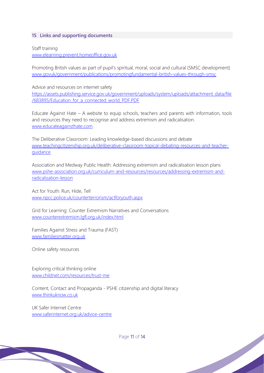#### **15 Links and supporting documents**

Staff training [www.elearning.prevent.homeoffice.gov.uk](http://www.elearning.prevent.homeoffice.gov.uk/)

Promoting British values as part of pupil's spiritual, moral, social and cultural (SMSC development) [www.govuk/government/publications/promotingfundamental-british-values-through-smsc](http://www.govuk/government/publications/promotingfundamental-british-values-through-smsc)

Advice and resources on internet safety [https://assets.publishing.service.gov.uk/government/uploads/system/uploads/attachment\\_data/file](https://assets.publishing.service.gov.uk/government/uploads/system/uploads/attachment_data/file/683895/Education_for_a_connected_world_PDF.PDF) [/683895/Education\\_for\\_a\\_connected\\_world\\_PDF.PDF](https://assets.publishing.service.gov.uk/government/uploads/system/uploads/attachment_data/file/683895/Education_for_a_connected_world_PDF.PDF)

Educate Against Hate – A website to equip schools, teachers and parents with information, tools and resources they need to recognise and address extremism and radicalisation. [www.educateagainsthate.com](http://www.educateagainsthate.com/)

The Deliberative Classroom: Leading knowledge-based discussions and debate [www.teachingcitizenship.org.uk/deliberative-classroom-topical-debating-resources-and-teacher](http://www.teachingcitizenship.org.uk/deliberative-classroom-topical-debating-resources-and-teacher-guidance)[guidance](http://www.teachingcitizenship.org.uk/deliberative-classroom-topical-debating-resources-and-teacher-guidance)

Association and Medway Public Health: Addressing extremism and radicalisation lesson plans [www.pshe-association.org.uk/curriculum-and-resources/resources/addressing-extremism-and](http://www.pshe-association.org.uk/curriculum-and-resources/resources/addressing-extremism-and-radicalisation-lesson)[radicalisation-lesson](http://www.pshe-association.org.uk/curriculum-and-resources/resources/addressing-extremism-and-radicalisation-lesson)

Act for Youth: Run, Hide, Tell [www.npcc.police.uk/counterterrorism/actforyouth.aspx](http://www.npcc.police.uk/counterterrorism/actforyouth.aspx)

Grid for Learning: Counter Extremism Narratives and Conversations [www.counterextremism.lgfl.org.uk/index.html](http://www.counterextremism.lgfl.org.uk/index.html)

Families Against Stress and Trauma (FAST) [www.familiesmatter.org.uk](http://www.familiesmatter.org.uk/)

Online safety resources

Exploring critical thinking online [www.childnet.com/resources/trust-me](http://www.childnet.com/resources/trust-me)

Content, Contact and Propaganda - PSHE citizenship and digital literacy [www.thinkuknow.co.uk](http://www.thinkuknow.co.uk/)

UK Safer Internet Centre [www.saferinternet.org.uk/advice-centre](http://www.saferinternet.org.uk/advice-centre)

Page 11 of 14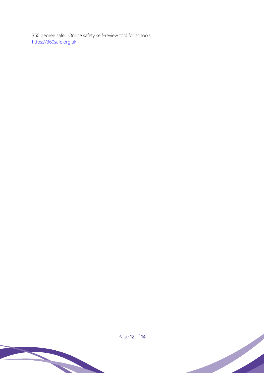360 degree safe. Online safety self-review tool for schools [https://360safe.org.uk](https://360safe.org.uk/)



Page 12 of 14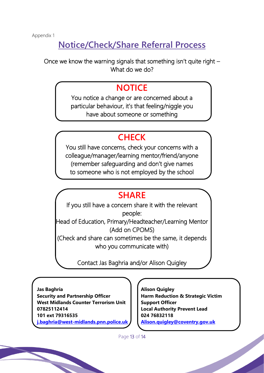### **Notice/Check/Share Referral Process**

Once we know the warning signals that something isn't quite right – What do we do?

### **NOTICE**

You notice a change or are concerned about a particular behaviour, it's that feeling/niggle you have about someone or something

### **CHECK**

You still have concerns, check your concerns with a colleague/manager/learning mentor/friend/anyone (remember safeguarding and don't give names to someone who is not employed by the school

### **SHARE**

If you still have a concern share it with the relevant people: Head of Education, Primary/Headteacher/Learning Mentor (Add on CPOMS) (Check and share can sometimes be the same, it depends who you communicate with)

Contact Jas Baghria and/or Alison Quigley

 **Jas Baghria Security and Partnership Officer West Midlands Counter Terrorism Unit 07825112414 101 ext 79316535 [j.baghria@west-midlands.pnn.police.uk](mailto:j.baghria@west-midlands.pnn.police.uk)**

 **Alison Quigley Harm Reduction & Strategic Victim Support Officer Local Authority Prevent Lead 024 76832118 [Alison.quigley@coventry.gov.uk](mailto:Alison.quigley@coventry.gov.uk)**

Page 13 of 14